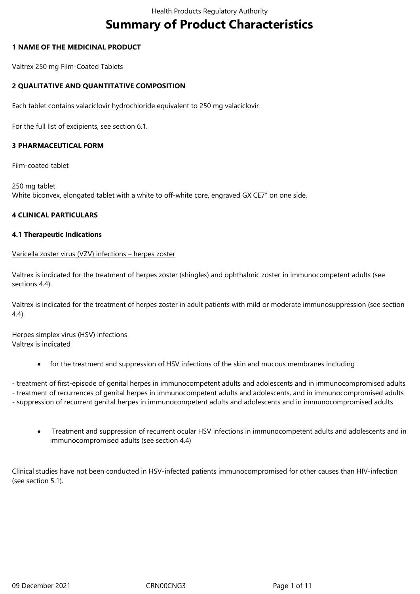# **Summary of Product Characteristics**

#### **1 NAME OF THE MEDICINAL PRODUCT**

Valtrex 250 mg Film-Coated Tablets

#### **2 QUALITATIVE AND QUANTITATIVE COMPOSITION**

Each tablet contains valaciclovir hydrochloride equivalent to 250 mg valaciclovir

For the full list of excipients, see section 6.1.

#### **3 PHARMACEUTICAL FORM**

Film-coated tablet

250 mg tablet White biconvex, elongated tablet with a white to off-white core, engraved GX CE7" on one side.

#### **4 CLINICAL PARTICULARS**

#### **4.1 Therapeutic Indications**

#### Varicella zoster virus (VZV) infections – herpes zoster

Valtrex is indicated for the treatment of herpes zoster (shingles) and ophthalmic zoster in immunocompetent adults (see sections 4.4).

Valtrex is indicated for the treatment of herpes zoster in adult patients with mild or moderate immunosuppression (see section 4.4).

Herpes simplex virus (HSV) infections Valtrex is indicated

for the treatment and suppression of HSV infections of the skin and mucous membranes including

- treatment of first-episode of genital herpes in immunocompetent adults and adolescents and in immunocompromised adults

- treatment of recurrences of genital herpes in immunocompetent adults and adolescents, and in immunocompromised adults
- suppression of recurrent genital herpes in immunocompetent adults and adolescents and in immunocompromised adults
	- Treatment and suppression of recurrent ocular HSV infections in immunocompetent adults and adolescents and in immunocompromised adults (see section 4.4)

Clinical studies have not been conducted in HSV-infected patients immunocompromised for other causes than HIV-infection (see section 5.1).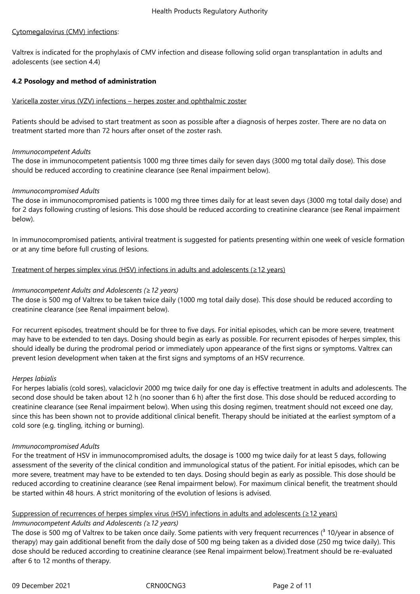#### Cytomegalovirus (CMV) infections:

Valtrex is indicated for the prophylaxis of CMV infection and disease following solid organ transplantation in adults and adolescents (see section 4.4)

#### **4.2 Posology and method of administration**

#### Varicella zoster virus (VZV) infections – herpes zoster and ophthalmic zoster

Patients should be advised to start treatment as soon as possible after a diagnosis of herpes zoster. There are no data on treatment started more than 72 hours after onset of the zoster rash.

#### *Immunocompetent Adults*

The dose in immunocompetent patientsis 1000 mg three times daily for seven days (3000 mg total daily dose). This dose should be reduced according to creatinine clearance (see Renal impairment below).

#### *Immunocompromised Adults*

The dose in immunocompromised patients is 1000 mg three times daily for at least seven days (3000 mg total daily dose) and for 2 days following crusting of lesions. This dose should be reduced according to creatinine clearance (see Renal impairment below).

In immunocompromised patients, antiviral treatment is suggested for patients presenting within one week of vesicle formation or at any time before full crusting of lesions.

#### Treatment of herpes simplex virus (HSV) infections in adults and adolescents (≥12 years)

#### *Immunocompetent Adults and Adolescents (≥12 years)*

The dose is 500 mg of Valtrex to be taken twice daily (1000 mg total daily dose). This dose should be reduced according to creatinine clearance (see Renal impairment below).

For recurrent episodes, treatment should be for three to five days. For initial episodes, which can be more severe, treatment may have to be extended to ten days. Dosing should begin as early as possible. For recurrent episodes of herpes simplex, this should ideally be during the prodromal period or immediately upon appearance of the first signs or symptoms. Valtrex can prevent lesion development when taken at the first signs and symptoms of an HSV recurrence.

#### *Herpes labialis*

For herpes labialis (cold sores), valaciclovir 2000 mg twice daily for one day is effective treatment in adults and adolescents. The second dose should be taken about 12 h (no sooner than 6 h) after the first dose. This dose should be reduced according to creatinine clearance (see Renal impairment below). When using this dosing regimen, treatment should not exceed one day, since this has been shown not to provide additional clinical benefit. Therapy should be initiated at the earliest symptom of a cold sore (e.g. tingling, itching or burning).

#### *Immunocompromised Adults*

For the treatment of HSV in immunocompromised adults, the dosage is 1000 mg twice daily for at least 5 days, following assessment of the severity of the clinical condition and immunological status of the patient. For initial episodes, which can be more severe, treatment may have to be extended to ten days. Dosing should begin as early as possible. This dose should be reduced according to creatinine clearance (see Renal impairment below). For maximum clinical benefit, the treatment should be started within 48 hours. A strict monitoring of the evolution of lesions is advised.

#### Suppression of recurrences of herpes simplex virus (HSV) infections in adults and adolescents (≥12 years) *Immunocompetent Adults and Adolescents (≥12 years)*

The dose is 500 mg of Valtrex to be taken once daily. Some patients with very frequent recurrences ( $3$  10/year in absence of therapy) may gain additional benefit from the daily dose of 500 mg being taken as a divided dose (250 mg twice daily). This dose should be reduced according to creatinine clearance (see Renal impairment below).Treatment should be re-evaluated after 6 to 12 months of therapy.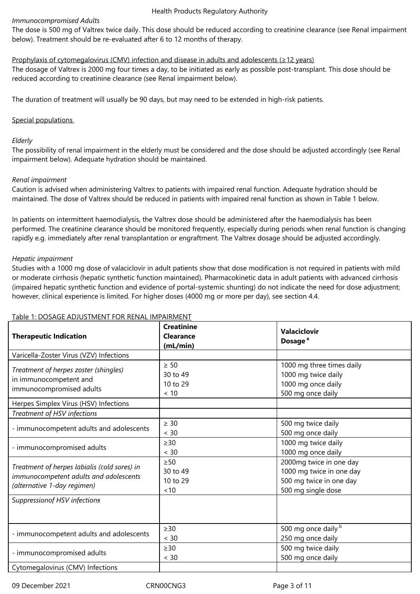#### *Immunocompromised Adults*

The dose is 500 mg of Valtrex twice daily. This dose should be reduced according to creatinine clearance (see Renal impairment below). Treatment should be re-evaluated after 6 to 12 months of therapy.

#### Prophylaxis of cytomegalovirus (CMV) infection and disease in adults and adolescents (≥12 years)

The dosage of Valtrex is 2000 mg four times a day, to be initiated as early as possible post-transplant. This dose should be reduced according to creatinine clearance (see Renal impairment below).

The duration of treatment will usually be 90 days, but may need to be extended in high-risk patients.

#### Special populations

#### *Elderly*

The possibility of renal impairment in the elderly must be considered and the dose should be adjusted accordingly (see Renal impairment below). Adequate hydration should be maintained.

#### *Renal impairment*

Caution is advised when administering Valtrex to patients with impaired renal function. Adequate hydration should be maintained. The dose of Valtrex should be reduced in patients with impaired renal function as shown in Table 1 below.

In patients on intermittent haemodialysis, the Valtrex dose should be administered after the haemodialysis has been performed. The creatinine clearance should be monitored frequently, especially during periods when renal function is changing rapidly e.g. immediately after renal transplantation or engraftment. The Valtrex dosage should be adjusted accordingly.

#### *Hepatic impairment*

Studies with a 1000 mg dose of valaciclovir in adult patients show that dose modification is not required in patients with mild or moderate cirrhosis (hepatic synthetic function maintained). Pharmacokinetic data in adult patients with advanced cirrhosis (impaired hepatic synthetic function and evidence of portal-systemic shunting) do not indicate the need for dose adjustment; however, clinical experience is limited. For higher doses (4000 mg or more per day), see section 4.4.

#### **Therapeutic Indication Creatinine Clearance (mL/min) Valaciclovir Dosage<sup>a</sup>** Varicella-Zoster Virus (VZV) Infections *Treatment of herpes zoster (shingles)*  in immunocompetent and immunocompromised adults ≥ 50 30 to 49 10 to 29 < 10 1000 mg three times daily 1000 mg twice daily 1000 mg once daily 500 mg once daily Herpes Simplex Virus (HSV) Infections *Treatment of HSV infections* - immunocompetent adults and adolescents ≥ 30 < 30 500 mg twice daily 500 mg once daily - immunocompromised adults ≥30 < 30 1000 mg twice daily 1000 mg once daily *Treatment of herpes labialis (cold sores) in immunocompetent adults and adolescents (alternative 1-day regimen)* ≥50 30 to 49 10 to 29  $< 10$ 2000mg twice in one day 1000 mg twice in one day 500 mg twice in one day 500 mg single dose S*uppressionof HSV infections* - immunocompetent adults and adolescents ≥30  $< 30$ 500 mg once daily b 250 mg once daily - immunocompromised adults ≥30 < 30 500 mg twice daily 500 mg once daily Cytomegalovirus (CMV) Infections

#### Table 1: DOSAGE ADJUSTMENT FOR RENAL IMPAIRMENT

09 December 2021 CRN00CNG3 Page 3 of 11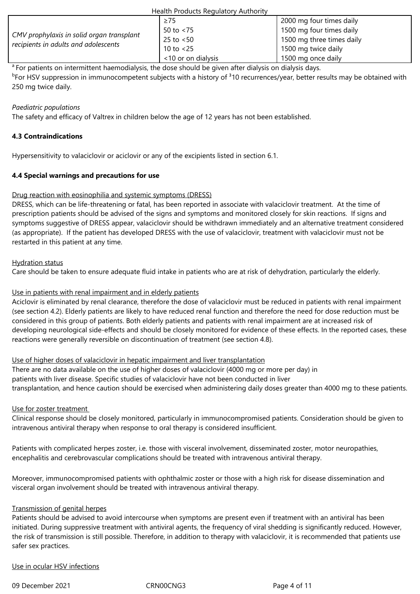|                                                                                   | Health Products Regulatory Authority |                           |  |
|-----------------------------------------------------------------------------------|--------------------------------------|---------------------------|--|
| CMV prophylaxis in solid organ transplant<br>recipients in adults and adolescents | $\geq$ 75                            | 2000 mg four times daily  |  |
|                                                                                   | 50 to $< 75$                         | 1500 mg four times daily  |  |
|                                                                                   | $25$ to $< 50$                       | 1500 mg three times daily |  |
|                                                                                   | 10 to $< 25$                         | 1500 mg twice daily       |  |
|                                                                                   | <10 or on dialysis                   | 1500 mg once daily        |  |

<sup>a</sup> For patients on intermittent haemodialysis, the dose should be given after dialysis on dialysis days.

<sup>b</sup>For HSV suppression in immunocompetent subjects with a history of <sup>3</sup>10 recurrences/year, better results may be obtained with 250 mg twice daily.

#### *Paediatric populations*

The safety and efficacy of Valtrex in children below the age of 12 years has not been established.

### **4.3 Contraindications**

Hypersensitivity to valaciclovir or aciclovir or any of the excipients listed in section 6.1.

### **4.4 Special warnings and precautions for use**

### Drug reaction with eosinophilia and systemic symptoms (DRESS)

DRESS, which can be life-threatening or fatal, has been reported in associate with valaciclovir treatment. At the time of prescription patients should be advised of the signs and symptoms and monitored closely for skin reactions. If signs and symptoms suggestive of DRESS appear, valaciclovir should be withdrawn immediately and an alternative treatment considered (as appropriate). If the patient has developed DRESS with the use of valaciclovir, treatment with valaciclovir must not be restarted in this patient at any time.

### Hydration status

Care should be taken to ensure adequate fluid intake in patients who are at risk of dehydration, particularly the elderly.

#### Use in patients with renal impairment and in elderly patients

Aciclovir is eliminated by renal clearance, therefore the dose of valaciclovir must be reduced in patients with renal impairment (see section 4.2). Elderly patients are likely to have reduced renal function and therefore the need for dose reduction must be considered in this group of patients. Both elderly patients and patients with renal impairment are at increased risk of developing neurological side-effects and should be closely monitored for evidence of these effects. In the reported cases, these reactions were generally reversible on discontinuation of treatment (see section 4.8).

#### Use of higher doses of valaciclovir in hepatic impairment and liver transplantation

There are no data available on the use of higher doses of valaciclovir (4000 mg or more per day) in patients with liver disease. Specific studies of valaciclovir have not been conducted in liver transplantation, and hence caution should be exercised when administering daily doses greater than 4000 mg to these patients.

#### Use for zoster treatment

Clinical response should be closely monitored, particularly in immunocompromised patients. Consideration should be given to intravenous antiviral therapy when response to oral therapy is considered insufficient.

Patients with complicated herpes zoster, i.e. those with visceral involvement, disseminated zoster, motor neuropathies, encephalitis and cerebrovascular complications should be treated with intravenous antiviral therapy.

Moreover, immunocompromised patients with ophthalmic zoster or those with a high risk for disease dissemination and visceral organ involvement should be treated with intravenous antiviral therapy.

#### Transmission of genital herpes

Patients should be advised to avoid intercourse when symptoms are present even if treatment with an antiviral has been initiated. During suppressive treatment with antiviral agents, the frequency of viral shedding is significantly reduced. However, the risk of transmission is still possible. Therefore, in addition to therapy with valaciclovir, it is recommended that patients use safer sex practices.

#### Use in ocular HSV infections

09 December 2021 CRN00CNG3 CRN00CNG3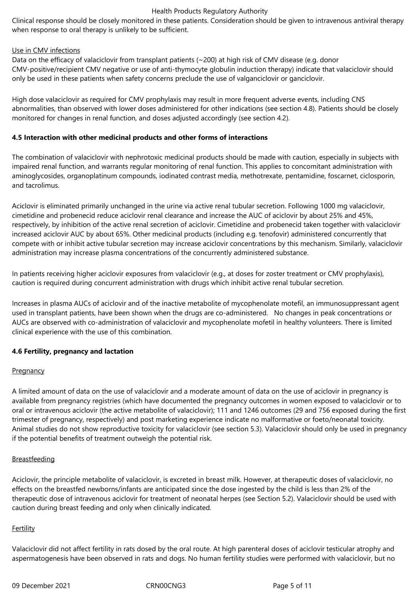Clinical response should be closely monitored in these patients. Consideration should be given to intravenous antiviral therapy when response to oral therapy is unlikely to be sufficient.

#### Use in CMV infections

Data on the efficacy of valaciclovir from transplant patients (~200) at high risk of CMV disease (e.g. donor CMV-positive/recipient CMV negative or use of anti-thymocyte globulin induction therapy) indicate that valaciclovir should only be used in these patients when safety concerns preclude the use of valganciclovir or ganciclovir.

High dose valaciclovir as required for CMV prophylaxis may result in more frequent adverse events, including CNS abnormalities, than observed with lower doses administered for other indications (see section 4.8). Patients should be closely monitored for changes in renal function, and doses adjusted accordingly (see section 4.2).

#### **4.5 Interaction with other medicinal products and other forms of interactions**

The combination of valaciclovir with nephrotoxic medicinal products should be made with caution, especially in subjects with impaired renal function, and warrants regular monitoring of renal function. This applies to concomitant administration with aminoglycosides, organoplatinum compounds, iodinated contrast media, methotrexate, pentamidine, foscarnet, ciclosporin, and tacrolimus.

Aciclovir is eliminated primarily unchanged in the urine via active renal tubular secretion. Following 1000 mg valaciclovir, cimetidine and probenecid reduce aciclovir renal clearance and increase the AUC of aciclovir by about 25% and 45%, respectively, by inhibition of the active renal secretion of aciclovir. Cimetidine and probenecid taken together with valaciclovir increased aciclovir AUC by about 65%. Other medicinal products (including e.g. tenofovir) administered concurrently that compete with or inhibit active tubular secretion may increase aciclovir concentrations by this mechanism. Similarly, valaciclovir administration may increase plasma concentrations of the concurrently administered substance.

In patients receiving higher aciclovir exposures from valaciclovir (e.g., at doses for zoster treatment or CMV prophylaxis), caution is required during concurrent administration with drugs which inhibit active renal tubular secretion.

Increases in plasma AUCs of aciclovir and of the inactive metabolite of mycophenolate motefil, an immunosuppressant agent used in transplant patients, have been shown when the drugs are co‑administered. No changes in peak concentrations or AUCs are observed with co-administration of valaciclovir and mycophenolate mofetil in healthy volunteers. There is limited clinical experience with the use of this combination.

#### **4.6 Fertility, pregnancy and lactation**

#### **Pregnancy**

A limited amount of data on the use of valaciclovir and a moderate amount of data on the use of aciclovir in pregnancy is available from pregnancy registries (which have documented the pregnancy outcomes in women exposed to valaciclovir or to oral or intravenous aciclovir (the active metabolite of valaciclovir); 111 and 1246 outcomes (29 and 756 exposed during the first trimester of pregnancy, respectively) and post marketing experience indicate no malformative or foeto/neonatal toxicity. Animal studies do not show reproductive toxicity for valaciclovir (see section 5.3). Valaciclovir should only be used in pregnancy if the potential benefits of treatment outweigh the potential risk.

#### **Breastfeeding**

Aciclovir, the principle metabolite of valaciclovir, is excreted in breast milk. However, at therapeutic doses of valaciclovir, no effects on the breastfed newborns/infants are anticipated since the dose ingested by the child is less than 2% of the therapeutic dose of intravenous aciclovir for treatment of neonatal herpes (see Section 5.2). Valaciclovir should be used with caution during breast feeding and only when clinically indicated.

#### **Fertility**

Valaciclovir did not affect fertility in rats dosed by the oral route. At high parenteral doses of aciclovir testicular atrophy and aspermatogenesis have been observed in rats and dogs. No human fertility studies were performed with valaciclovir, but no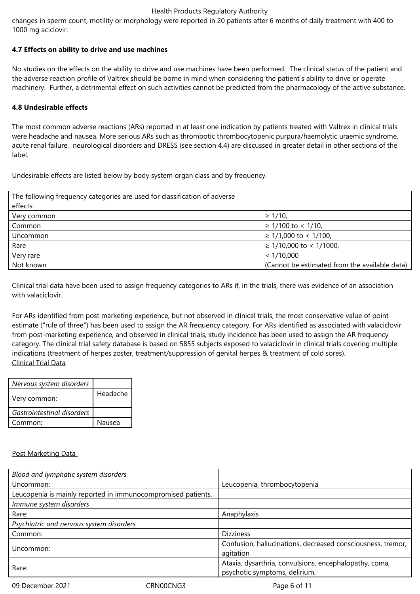changes in sperm count, motility or morphology were reported in 20 patients after 6 months of daily treatment with 400 to 1000 mg aciclovir.

#### **4.7 Effects on ability to drive and use machines**

No studies on the effects on the ability to drive and use machines have been performed. The clinical status of the patient and the adverse reaction profile of Valtrex should be borne in mind when considering the patient`s ability to drive or operate machinery. Further, a detrimental effect on such activities cannot be predicted from the pharmacology of the active substance.

#### **4.8 Undesirable effects**

The most common adverse reactions (ARs) reported in at least one indication by patients treated with Valtrex in clinical trials were headache and nausea. More serious ARs such as thrombotic thrombocytopenic purpura/haemolytic uraemic syndrome, acute renal failure, neurological disorders and DRESS (see section 4.4) are discussed in greater detail in other sections of the label.

Undesirable effects are listed below by body system organ class and by frequency.

| The following frequency categories are used for classification of adverse |                                               |
|---------------------------------------------------------------------------|-----------------------------------------------|
| effects:                                                                  |                                               |
| Very common                                                               | $\geq$ 1/10,                                  |
| Common                                                                    | $\geq$ 1/100 to < 1/10,                       |
| Uncommon                                                                  | $\geq$ 1/1,000 to < 1/100,                    |
| Rare                                                                      | $\geq$ 1/10,000 to < 1/1000,                  |
| Very rare                                                                 | < 1/10,000                                    |
| Not known                                                                 | (Cannot be estimated from the available data) |

Clinical trial data have been used to assign frequency categories to ARs if, in the trials, there was evidence of an association with valaciclovir.

For ARs identified from post marketing experience, but not observed in clinical trials, the most conservative value of point estimate ("rule of three") has been used to assign the AR frequency category. For ARs identified as associated with valaciclovir from post-marketing experience, and observed in clinical trials, study incidence has been used to assign the AR frequency category. The clinical trial safety database is based on 5855 subjects exposed to valaciclovir in clinical trials covering multiple indications (treatment of herpes zoster, treatment/suppression of genital herpes & treatment of cold sores). Clinical Trial Data

| Nervous system disorders   |          |
|----------------------------|----------|
| Very common:               | Headache |
| Gastrointestinal disorders |          |
| Common:                    | Nausea   |
|                            |          |

#### Post Marketing Data

| Leucopenia, thrombocytopenia                                                            |
|-----------------------------------------------------------------------------------------|
|                                                                                         |
|                                                                                         |
| Anaphylaxis                                                                             |
|                                                                                         |
| <b>Dizziness</b>                                                                        |
| Confusion, hallucinations, decreased consciousness, tremor,<br>agitation                |
| Ataxia, dysarthria, convulsions, encephalopathy, coma,<br>psychotic symptoms, delirium. |
|                                                                                         |

09 December 2021 CRN00CNG3 Page 6 of 11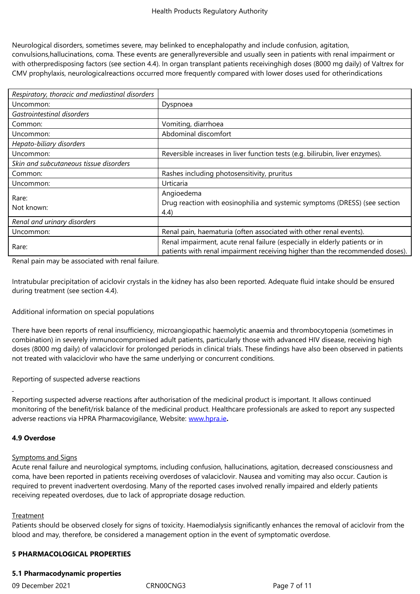Neurological disorders, sometimes severe, may belinked to encephalopathy and include confusion, agitation, convulsions,hallucinations, coma. These events are generallyreversible and usually seen in patients with renal impairment or with otherpredisposing factors (see section 4.4). In organ transplant patients receivinghigh doses (8000 mg daily) of Valtrex for CMV prophylaxis, neurologicalreactions occurred more frequently compared with lower doses used for otherindications

| Respiratory, thoracic and mediastinal disorders |                                                                                                                                                             |  |
|-------------------------------------------------|-------------------------------------------------------------------------------------------------------------------------------------------------------------|--|
| Uncommon:                                       | Dyspnoea                                                                                                                                                    |  |
| Gastrointestinal disorders                      |                                                                                                                                                             |  |
| Common:                                         | Vomiting, diarrhoea                                                                                                                                         |  |
| Uncommon:                                       | Abdominal discomfort                                                                                                                                        |  |
| Hepato-biliary disorders                        |                                                                                                                                                             |  |
| Uncommon:                                       | Reversible increases in liver function tests (e.g. bilirubin, liver enzymes).                                                                               |  |
| Skin and subcutaneous tissue disorders          |                                                                                                                                                             |  |
| Common:                                         | Rashes including photosensitivity, pruritus                                                                                                                 |  |
| Uncommon:                                       | Urticaria                                                                                                                                                   |  |
| Rare:<br>Not known:                             | Angioedema<br>Drug reaction with eosinophilia and systemic symptoms (DRESS) (see section<br>(4.4)                                                           |  |
| Renal and urinary disorders                     |                                                                                                                                                             |  |
| Uncommon:                                       | Renal pain, haematuria (often associated with other renal events).                                                                                          |  |
| Rare:                                           | Renal impairment, acute renal failure (especially in elderly patients or in<br>patients with renal impairment receiving higher than the recommended doses). |  |

Renal pain may be associated with renal failure.

Intratubular precipitation of aciclovir crystals in the kidney has also been reported. Adequate fluid intake should be ensured during treatment (see section 4.4).

Additional information on special populations

There have been reports of renal insufficiency, microangiopathic haemolytic anaemia and thrombocytopenia (sometimes in combination) in severely immunocompromised adult patients, particularly those with advanced HIV disease, receiving high doses (8000 mg daily) of valaciclovir for prolonged periods in clinical trials. These findings have also been observed in patients not treated with valaciclovir who have the same underlying or concurrent conditions.

Reporting of suspected adverse reactions

Reporting suspected adverse reactions after authorisation of the medicinal product is important. It allows continued monitoring of the benefit/risk balance of the medicinal product. Healthcare professionals are asked to report any suspected adverse reactions via HPRA Pharmacovigilance, Website: www.hpra.ie**.**

#### **4.9 Overdose**

#### Symptoms and Signs

Acute renal failure and neurological symptoms, including confusion, hallucinations, agitation, decreased consciousness and coma, have been reported in patients receiving overdoses of valaciclovir. Nausea and vomiting may also occur. Caution is required to prevent inadvertent overdosing. Many of the reported cases involved renally impaired and elderly patients receiving repeated overdoses, due to lack of appropriate dosage reduction.

#### **Treatment**

Patients should be observed closely for signs of toxicity. Haemodialysis significantly enhances the removal of aciclovir from the blood and may, therefore, be considered a management option in the event of symptomatic overdose.

#### **5 PHARMACOLOGICAL PROPERTIES**

#### **5.1 Pharmacodynamic properties**

09 December 2021 CRN00CNG3 Page 7 of 11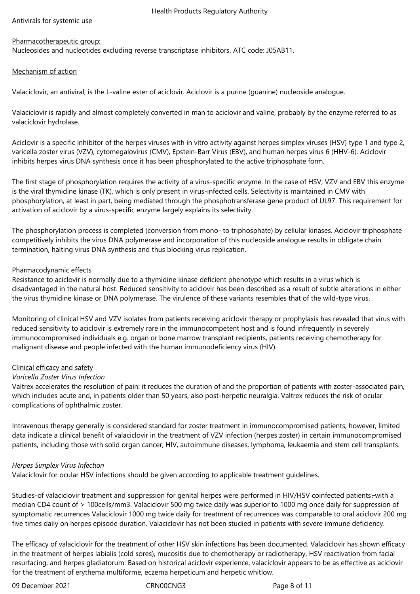Antivirals for systemic use

## Pharmacotherapeutic group:

Nucleosides and nucleotides excluding reverse transcriptase inhibitors, ATC code: J05AB11.

#### Mechanism of action

Valaciclovir, an antiviral, is the L-valine ester of aciclovir. Aciclovir is a purine (guanine) nucleoside analogue.

Valaciclovir is rapidly and almost completely converted in man to aciclovir and valine, probably by the enzyme referred to as valaciclovir hydrolase.

Aciclovir is a specific inhibitor of the herpes viruses with in vitro activity against herpes simplex viruses (HSV) type 1 and type 2, varicella zoster virus (VZV), cytomegalovirus (CMV), Epstein-Barr Virus (EBV), and human herpes virus 6 (HHV-6). Aciclovir inhibits herpes virus DNA synthesis once it has been phosphorylated to the active triphosphate form.

The first stage of phosphorylation requires the activity of a virus-specific enzyme. In the case of HSV, VZV and EBV this enzyme is the viral thymidine kinase (TK), which is only present in virus-infected cells. Selectivity is maintained in CMV with phosphorylation, at least in part, being mediated through the phosphotransferase gene product of UL97. This requirement for activation of aciclovir by a virus-specific enzyme largely explains its selectivity.

The phosphorylation process is completed (conversion from mono- to triphosphate) by cellular kinases. Aciclovir triphosphate competitively inhibits the virus DNA polymerase and incorporation of this nucleoside analogue results in obligate chain termination, halting virus DNA synthesis and thus blocking virus replication.

#### Pharmacodynamic effects

Resistance to aciclovir is normally due to a thymidine kinase deficient phenotype which results in a virus which is disadvantaged in the natural host. Reduced sensitivity to aciclovir has been described as a result of subtle alterations in either the virus thymidine kinase or DNA polymerase. The virulence of these variants resembles that of the wild-type virus.

Monitoring of clinical HSV and VZV isolates from patients receiving aciclovir therapy or prophylaxis has revealed that virus with reduced sensitivity to aciclovir is extremely rare in the immunocompetent host and is found infrequently in severely immunocompromised individuals e.g. organ or bone marrow transplant recipients, patients receiving chemotherapy for malignant disease and people infected with the human immunodeficiency virus (HIV).

#### Clinical efficacy and safety

#### *Varicella Zoster Virus Infection*

Valtrex accelerates the resolution of pain: it reduces the duration of and the proportion of patients with zoster-associated pain, which includes acute and, in patients older than 50 years, also post-herpetic neuralgia. Valtrex reduces the risk of ocular complications of ophthalmic zoster.

Intravenous therapy generally is considered standard for zoster treatment in immunocompromised patients; however, limited data indicate a clinical benefit of valaciclovir in the treatment of VZV infection (herpes zoster) in certain immunocompromised patients, including those with solid organ cancer, HIV, autoimmune diseases, lymphoma, leukaemia and stem cell transplants.

#### *Herpes Simplex Virus Infection*

Valaciclovir for ocular HSV infections should be given according to applicable treatment guidelines.

Studies-of valaciclovir treatment and suppression for genital herpes were performed in HIV/HSV coinfected patients-with a median CD4 count of > 100cells/mm3. Valaciclovir 500 mg twice daily was superior to 1000 mg once daily for suppression of symptomatic recurrences Valaciclovir 1000 mg twice daily for treatment of recurrences was comparable to oral aciclovir 200 mg five times daily on herpes episode duration. Valaciclovir has not been studied in patients with severe immune deficiency.

The efficacy of valaciclovir for the treatment of other HSV skin infections has been documented. Valaciclovir has shown efficacy in the treatment of herpes labialis (cold sores), mucositis due to chemotherapy or radiotherapy, HSV reactivation from facial resurfacing, and herpes gladiatorum. Based on historical aciclovir experience, valaciclovir appears to be as effective as aciclovir for the treatment of erythema multiforme, eczema herpeticum and herpetic whitlow.

09 December 2021 CRN00CNG3 Page 8 of 11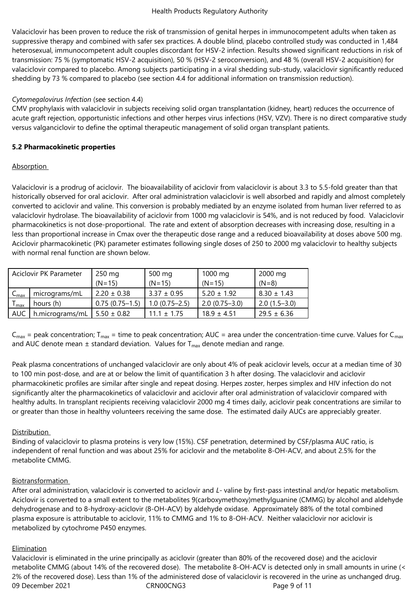Valaciclovir has been proven to reduce the risk of transmission of genital herpes in immunocompetent adults when taken as suppressive therapy and combined with safer sex practices. A double blind, placebo controlled study was conducted in 1,484 heterosexual, immunocompetent adult couples discordant for HSV‑2 infection. Results showed significant reductions in risk of transmission: 75 % (symptomatic HSV‑2 acquisition), 50 % (HSV‑2 seroconversion), and 48 % (overall HSV‑2 acquisition) for valaciclovir compared to placebo. Among subjects participating in a viral shedding sub-study, valaciclovir significantly reduced shedding by 73 % compared to placebo (see section 4.4 for additional information on transmission reduction).

#### *Cytomegalovirus Infection* (see section 4.4)

CMV prophylaxis with valaciclovir in subjects receiving solid organ transplantation (kidney, heart) reduces the occurrence of acute graft rejection, opportunistic infections and other herpes virus infections (HSV, VZV). There is no direct comparative study versus valganciclovir to define the optimal therapeutic management of solid organ transplant patients.

#### **5.2 Pharmacokinetic properties**

#### Absorption

Valaciclovir is a prodrug of aciclovir. The bioavailability of aciclovir from valaciclovir is about 3.3 to 5.5-fold greater than that historically observed for oral aciclovir. After oral administration valaciclovir is well absorbed and rapidly and almost completely converted to aciclovir and valine. This conversion is probably mediated by an enzyme isolated from human liver referred to as valaciclovir hydrolase. The bioavailability of aciclovir from 1000 mg valaciclovir is 54%, and is not reduced by food. Valaciclovir pharmacokinetics is not dose-proportional. The rate and extent of absorption decreases with increasing dose, resulting in a less than proportional increase in Cmax over the therapeutic dose range and a reduced bioavailability at doses above 500 mg. Aciclovir pharmacokinetic (PK) parameter estimates following single doses of 250 to 2000 mg valaciclovir to healthy subjects with normal renal function are shown below.

|                  | Aciclovir PK Parameter | 250 mg           | 500 mg            | 1000 mg           | 2000 mg         |
|------------------|------------------------|------------------|-------------------|-------------------|-----------------|
|                  |                        | $(N=15)$         | $(N=15)$          | $(N=15)$          | $(N=8)$         |
| $C_{\text{max}}$ | micrograms/mL          | $2.20 \pm 0.38$  | $3.37 \pm 0.95$   | $5.20 \pm 1.92$   | $8.30 \pm 1.43$ |
| I max            | hours (h)              | $0.75(0.75-1.5)$ | $1.0(0.75 - 2.5)$ | $2.0(0.75 - 3.0)$ | $2.0(1.5-3.0)$  |
| <b>AUC</b>       | h.micrograms/mL        | $5.50 \pm 0.82$  | $11.1 \pm 1.75$   | $18.9 \pm 4.51$   | $29.5 \pm 6.36$ |

 $C_{max}$  = peak concentration; T<sub>max</sub> = time to peak concentration; AUC = area under the concentration-time curve. Values for C<sub>max</sub> and AUC denote mean  $\pm$  standard deviation. Values for  $T_{\text{max}}$  denote median and range.

Peak plasma concentrations of unchanged valaciclovir are only about 4% of peak aciclovir levels, occur at a median time of 30 to 100 min post-dose, and are at or below the limit of quantification 3 h after dosing. The valaciclovir and aciclovir pharmacokinetic profiles are similar after single and repeat dosing. Herpes zoster, herpes simplex and HIV infection do not significantly alter the pharmacokinetics of valaciclovir and aciclovir after oral administration of valaciclovir compared with healthy adults. In transplant recipients receiving valaciclovir 2000 mg 4 times daily, aciclovir peak concentrations are similar to or greater than those in healthy volunteers receiving the same dose. The estimated daily AUCs are appreciably greater.

#### **Distribution**

Binding of valaciclovir to plasma proteins is very low (15%). CSF penetration, determined by CSF/plasma AUC ratio, is independent of renal function and was about 25% for aciclovir and the metabolite 8-OH-ACV, and about 2.5% for the metabolite CMMG.

#### Biotransformation

After oral administration, valaciclovir is converted to aciclovir and *L‑* valine by first‑pass intestinal and/or hepatic metabolism. Aciclovir is converted to a small extent to the metabolites 9(carboxymethoxy)methylguanine (CMMG) by alcohol and aldehyde dehydrogenase and to 8‑hydroxy‑aciclovir (8‑OH‑ACV) by aldehyde oxidase. Approximately 88% of the total combined plasma exposure is attributable to aciclovir, 11% to CMMG and 1% to 8‑OH‑ACV. Neither valaciclovir nor aciclovir is metabolized by cytochrome P450 enzymes.

#### **Elimination**

09 December 2021 CRN00CNG3 Page 9 of 11 Valaciclovir is eliminated in the urine principally as aciclovir (greater than 80% of the recovered dose) and the aciclovir metabolite CMMG (about 14% of the recovered dose). The metabolite 8-OH-ACV is detected only in small amounts in urine (< 2% of the recovered dose). Less than 1% of the administered dose of valaciclovir is recovered in the urine as unchanged drug.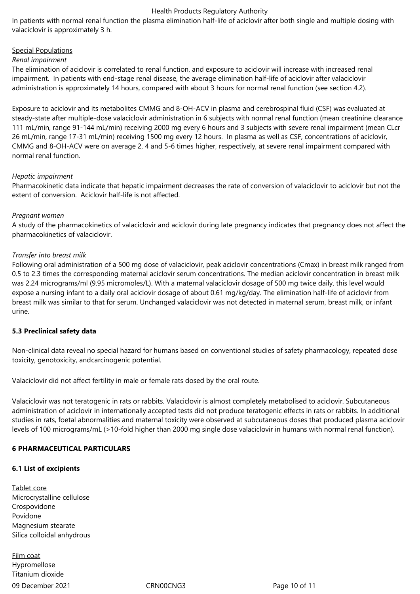In patients with normal renal function the plasma elimination half-life of aciclovir after both single and multiple dosing with valaciclovir is approximately 3 h.

#### Special Populations

#### *Renal impairment*

The elimination of aciclovir is correlated to renal function, and exposure to aciclovir will increase with increased renal impairment. In patients with end-stage renal disease, the average elimination half-life of aciclovir after valaciclovir administration is approximately 14 hours, compared with about 3 hours for normal renal function (see section 4.2).

Exposure to aciclovir and its metabolites CMMG and 8-OH-ACV in plasma and cerebrospinal fluid (CSF) was evaluated at steady-state after multiple-dose valaciclovir administration in 6 subjects with normal renal function (mean creatinine clearance 111 mL/min, range 91-144 mL/min) receiving 2000 mg every 6 hours and 3 subjects with severe renal impairment (mean CLcr 26 mL/min, range 17-31 mL/min) receiving 1500 mg every 12 hours. In plasma as well as CSF, concentrations of aciclovir, CMMG and 8-OH-ACV were on average 2, 4 and 5-6 times higher, respectively, at severe renal impairment compared with normal renal function.

#### *Hepatic impairment*

Pharmacokinetic data indicate that hepatic impairment decreases the rate of conversion of valaciclovir to aciclovir but not the extent of conversion. Aciclovir half-life is not affected.

#### *Pregnant women*

A study of the pharmacokinetics of valaciclovir and aciclovir during late pregnancy indicates that pregnancy does not affect the pharmacokinetics of valaciclovir.

#### *Transfer into breast milk*

Following oral administration of a 500 mg dose of valaciclovir, peak aciclovir concentrations (Cmax) in breast milk ranged from 0.5 to 2.3 times the corresponding maternal aciclovir serum concentrations. The median aciclovir concentration in breast milk was 2.24 micrograms/ml (9.95 micromoles/L). With a maternal valaciclovir dosage of 500 mg twice daily, this level would expose a nursing infant to a daily oral aciclovir dosage of about 0.61 mg/kg/day. The elimination half-life of aciclovir from breast milk was similar to that for serum. Unchanged valaciclovir was not detected in maternal serum, breast milk, or infant urine.

#### **5.3 Preclinical safety data**

Non-clinical data reveal no special hazard for humans based on conventional studies of safety pharmacology, repeated dose toxicity, genotoxicity, andcarcinogenic potential.

Valaciclovir did not affect fertility in male or female rats dosed by the oral route.

Valaciclovir was not teratogenic in rats or rabbits. Valaciclovir is almost completely metabolised to aciclovir. Subcutaneous administration of aciclovir in internationally accepted tests did not produce teratogenic effects in rats or rabbits. In additional studies in rats, foetal abnormalities and maternal toxicity were observed at subcutaneous doses that produced plasma aciclovir levels of 100 micrograms/mL (>10‑fold higher than 2000 mg single dose valaciclovir in humans with normal renal function).

#### **6 PHARMACEUTICAL PARTICULARS**

#### **6.1 List of excipients**

Tablet core Microcrystalline cellulose Crospovidone Povidone Magnesium stearate Silica colloidal anhydrous

09 December 2021 CRN00CNG3 Page 10 of 11 Film coat Hypromellose Titanium dioxide